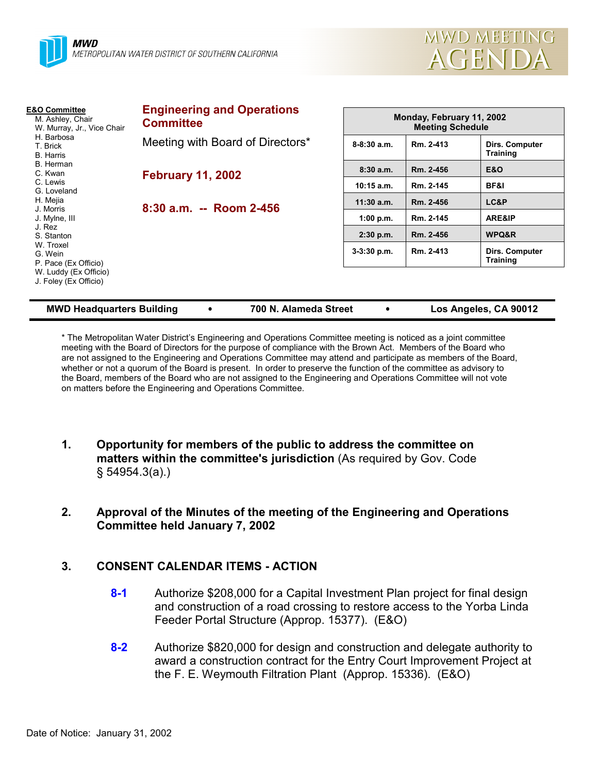

| <b>E&amp;O Committee</b><br>M. Ashley, Chair<br>W. Murray, Jr., Vice Chair<br>H. Barbosa<br>T. Brick<br><b>B.</b> Harris | <b>Engineering and Operations</b><br><b>Committee</b> |               | Monday, February 11, 2002<br><b>Meeting Schedule</b> |                                   |  |  |
|--------------------------------------------------------------------------------------------------------------------------|-------------------------------------------------------|---------------|------------------------------------------------------|-----------------------------------|--|--|
|                                                                                                                          | Meeting with Board of Directors*                      | $8-8:30$ a.m. | Rm. 2-413                                            | Dirs. Computer<br><b>Training</b> |  |  |
| B. Herman<br>C. Kwan                                                                                                     | <b>February 11, 2002</b>                              | 8:30a.m.      | Rm. 2-456                                            | E&O                               |  |  |
| C. Lewis<br>G. Loveland                                                                                                  |                                                       | $10:15$ a.m.  | Rm. 2-145                                            | BF&I                              |  |  |
| H. Mejia                                                                                                                 | $8:30$ a.m. -- Room 2-456                             | $11:30$ a.m.  | Rm. 2-456                                            | LC&P                              |  |  |
| J. Morris<br>J. Mylne, III                                                                                               |                                                       | 1:00 p.m.     | Rm. 2-145                                            | ARE&IP                            |  |  |
| J. Rez<br>S. Stanton                                                                                                     |                                                       | $2:30$ p.m.   | Rm. 2-456                                            | WPQ&R                             |  |  |
| W. Troxel<br>G. Wein<br>P. Pace (Ex Officio)<br>W. Luddy (Ex Officio)<br>J. Foley (Ex Officio)                           |                                                       | $3-3:30$ p.m. | Rm. 2-413                                            | Dirs. Computer<br><b>Training</b> |  |  |
|                                                                                                                          |                                                       |               |                                                      |                                   |  |  |

| <b>MWD Headquarters Building</b> |  | 700 N. Alameda Street |  | Los Angeles, CA 90012 |
|----------------------------------|--|-----------------------|--|-----------------------|
|----------------------------------|--|-----------------------|--|-----------------------|

\* The Metropolitan Water District's Engineering and Operations Committee meeting is noticed as a joint committee meeting with the Board of Directors for the purpose of compliance with the Brown Act. Members of the Board who are not assigned to the Engineering and Operations Committee may attend and participate as members of the Board, whether or not a quorum of the Board is present. In order to preserve the function of the committee as advisory to the Board, members of the Board who are not assigned to the Engineering and Operations Committee will not vote on matters before the Engineering and Operations Committee.

- **1. Opportunity for members of the public to address the committee on matters within the committee's jurisdiction** (As required by Gov. Code § 54954.3(a).)
- **2. Approval of the Minutes of the meeting of the Engineering and Operations Committee held January 7, 2002**

# **3. CONSENT CALENDAR ITEMS - ACTION**

- **8-1** Authorize \$208,000 for a Capital Investment Plan project for final design and construction of a road crossing to restore access to the Yorba Linda Feeder Portal Structure (Approp. 15377). (E&O)
- **8-2** Authorize \$820,000 for design and construction and delegate authority to award a construction contract for the Entry Court Improvement Project at the F. E. Weymouth Filtration Plant (Approp. 15336). (E&O)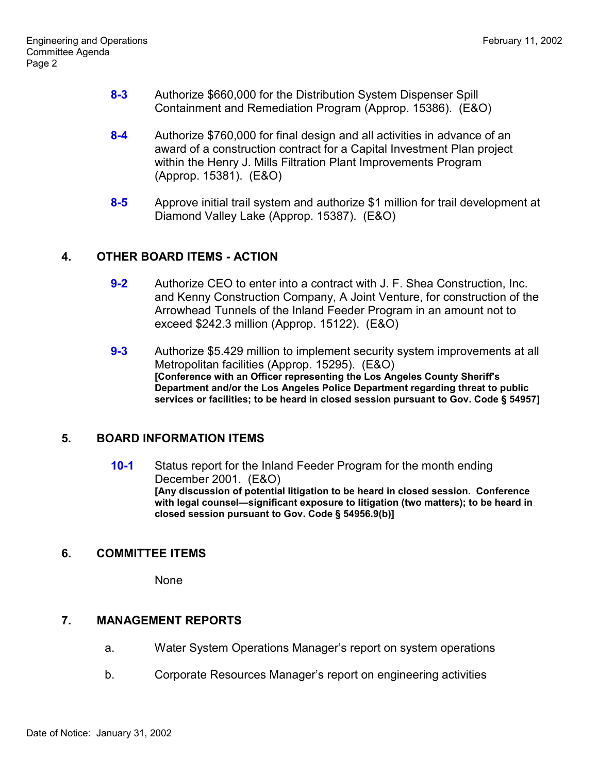- **8-3** Authorize \$660,000 for the Distribution System Dispenser Spill Containment and Remediation Program (Approp. 15386). (E&O)
- **8-4** Authorize \$760,000 for final design and all activities in advance of an award of a construction contract for a Capital Investment Plan project within the Henry J. Mills Filtration Plant Improvements Program (Approp. 15381). (E&O)
- **8-5** Approve initial trail system and authorize \$1 million for trail development at Diamond Valley Lake (Approp. 15387). (E&O)

# **4. OTHER BOARD ITEMS - ACTION**

- **9-2** Authorize CEO to enter into a contract with J. F. Shea Construction, Inc. and Kenny Construction Company, A Joint Venture, for construction of the Arrowhead Tunnels of the Inland Feeder Program in an amount not to exceed \$242.3 million (Approp. 15122). (E&O)
- **9-3** Authorize \$5.429 million to implement security system improvements at all Metropolitan facilities (Approp. 15295). (E&O) **[Conference with an Officer representing the Los Angeles County Sheriff's Department and/or the Los Angeles Police Department regarding threat to public services or facilities; to be heard in closed session pursuant to Gov. Code § 54957]**

## **5. BOARD INFORMATION ITEMS**

**10-1** Status report for the Inland Feeder Program for the month ending December 2001. (E&O) **[Any discussion of potential litigation to be heard in closed session. Conference with legal counsel—significant exposure to litigation (two matters); to be heard in closed session pursuant to Gov. Code § 54956.9(b)]**

## **6. COMMITTEE ITEMS**

None

# **7. MANAGEMENT REPORTS**

- a. Water System Operations Manager's report on system operations
- b. Corporate Resources Manager's report on engineering activities